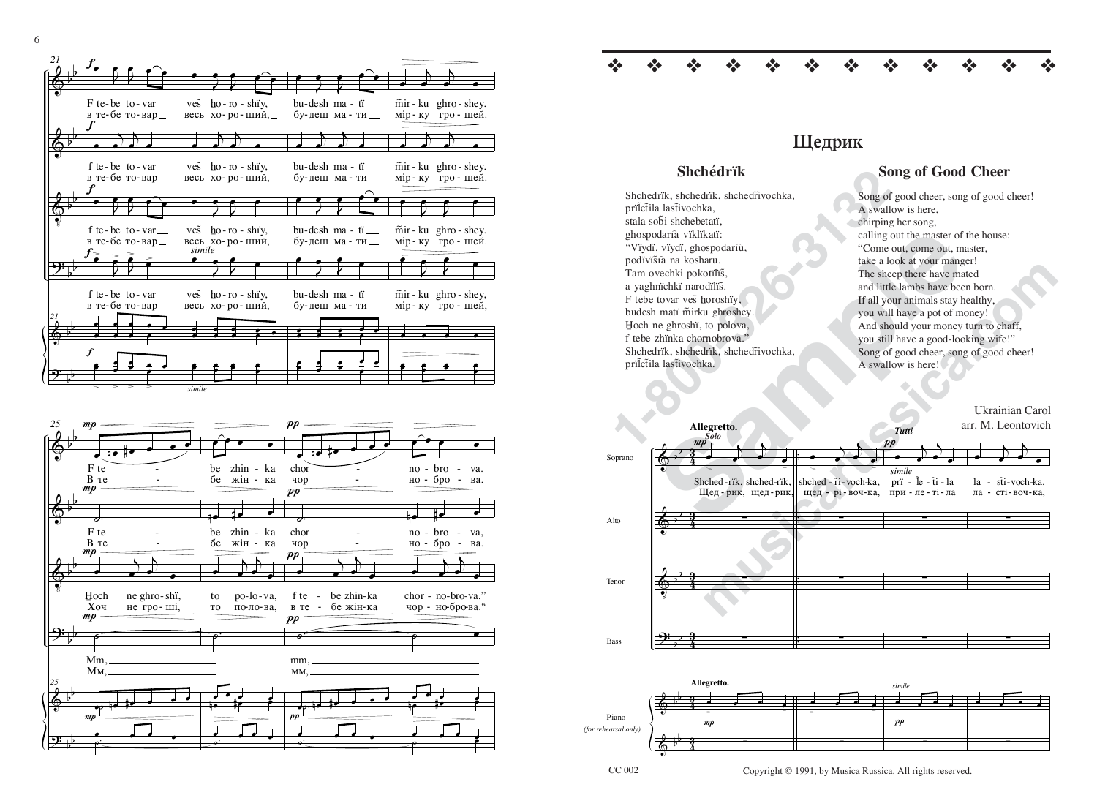## **Шедрик**

❖ ❖ ❖ ❖ ❖ ❖ ❖ ❖ ❖ ❖ ❖ ❖

**1-80**<br>
Shehedrik, shehedrik, shehedrivochka,<br>
song of<br>
priletila lastivochka,<br>
stala sobi shehebetati,<br>
tala sobi shehebetati,<br>
entyring ghospodaria viklikati:<br>
"Viydi, viydi, ghospodariu,<br>
podivišia na kosharu.<br>
Tam ovec Shchedrik, shchedrik, shchedrivochka, pril̃et̃ila last̃ivochka. stala sobi shchebetatï. ghospodaría vïklïkatï: "Vïydï, vïydï, ghospodarı̂ù, podïvïsta na kosharu. Tam ovechki pokotïlïš, a yaghnïchkï narodïlïš. F tebe tovar ves horoshiy, budesh matï mirku ghroshey. Hoch ne ghroshi, to polova, f tebe zhïnka chornobrova." Shchedrik, shchedrik, shchedrivochka, priletila last̃ivochka.

## **Shchédrïk** Song of Good Cheer

Song of good cheer, song of good cheer! A swallow is here, chirping her song, calling out the master of the house: "Come out, come out, master, take a look at your manger! The sheep there have mated and little lambs have been born. If all your animals stay healthy, you will have a pot of money! And should your money turn to chaff, you still have a good-looking wife!" Song of good cheer, song of good cheer! A swallow is here!

Maria viklikati:<br>
sai na kosharu.<br>
sa na kosharu.<br>
sa na kosharu manga sa na hithe alam sa ter of the master of the mater of the mater of the mater of the mater<br>
sa alok at your minals stay had title lambs have been there and:<br>
intings,<br>
combatter and the sheep there have mated<br>
ordins,<br>
If all your will have a good through:<br>
<br> **musicarus in the shape been born**.<br>
<br> **musical interval and start and shape been born.**<br>
you will have a good-hoo Ukrainian Carolarr. M. LeontovichSoprano AltoTenor BassPiano*(for rehearsal only)*  $\hat{\mathbb{S}}$  $\hat{\mathbb{S}}$  $\hat{\mathbb{Q}}$ <u>ን</u>  $\hat{\mathbb{S}}$  $\hat{\mathbb{S}}$ b b b b b b b b b b b b 4 3 4 3 4 3 4 3 4 3 4 3 P *Solo***Allegretto.** œ >j  $\rightarrow$ <sup>œ</sup> <sup>œ</sup> Shched-rik, shchedhched-rïk, shched-rïk,<br>Щед-рик, щед-рик, ∑∑∑**Allegretto.** mo œ <sup>œ</sup> <sup>œ</sup> <sup>œ</sup> ∑œ >j  $\rightarrow$  $\bullet$   $\overline{\phantom{a}}$ щед - рі-воч-ка, shched - r̃i - voch-ka, ∑œ <u>.</u> . . . . ∑ $\boldsymbol{p}$ *Tuttisimile* $\mathbf{p}$ *simile* $\overline{\phantom{a}}$  $\rightarrow$ <sup>œ</sup> <sup>œ</sup> при - ле - ті - ла prï - l̃e - t̃i - la ∑∑∑. . . . ∑ $\overline{\phantom{a}}$  $\rightarrow$  $\ddot{\quad}$ ла - сті-воч-ка, la - st̃i-voch-ka, ∑∑∑<sup>œ</sup> <sup>œ</sup> <sup>œ</sup> <sup>œ</sup> ∑

Copyright © 1991, by Musica Russica. All rights reserved.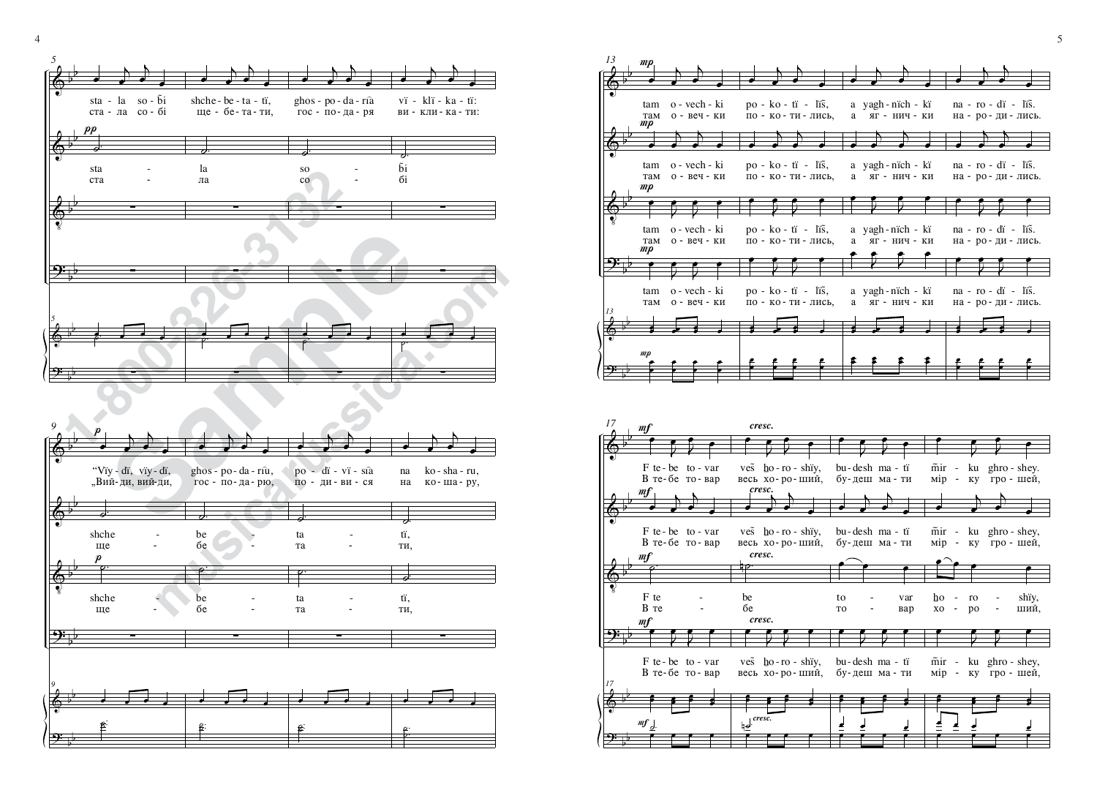



4 $\frac{4}{3}$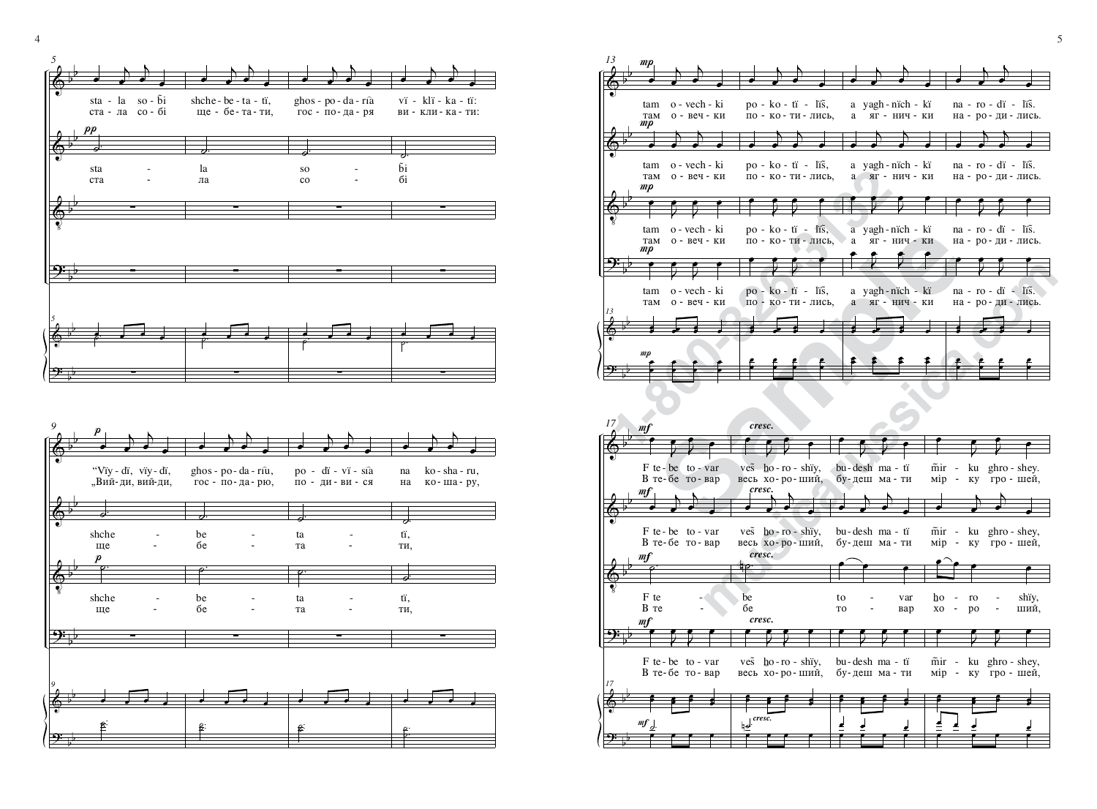**1-800-326-31-3122**<br> **1-800-326-31-3122**<br> **1-800-326-31-3122**<br> **1-800-326-31-3122**<br> **1-800-326-31-3122**<br> **1-800-326-31-3123**<br> **1-800-326-31-3123**<br> **1-800-326-31-3123**<br> **1-800-326-41-3123**<br> **1-800-326-41-3123**<br> **1-800-326-Sample Transport of Allied Science of The Contract of Allied Science of Transport of Allied Science of Allied Science of Allied Science of Transport of Allied Science of Transport of Allied Science of Transport of Allied**  $\hat{\mathbb{P}}$  $\hat{\mathbb{P}}$ **V** <u>ን፡</u>  $\hat{\mathbb{P}}$ <u>ን</u>፡ b b b b b b b b b b b b  $mp$  $\mathfrak{m}p$  $mp$  $\mathfrak{m}p$  $mp$ *13*  $Tam$ tam œ о - веч - ки o - vech - ki  $\blacktriangleright$ œ  $\big\}$ œ œ там tam œ о - веч - ки o - vech - ki j œ j œ œ  $Tam$ tam œ о - веч - ки o - vech - ki J œ J œ œ Ta<sub>M</sub> tam œ о - веч - ки o - vech - ki J œ J œ œ *13*œ **: . : : .** œ  $\cdot$   $\cdot$  $\mathrel{\mathop:}$  $\leftarrow$ œ по - ко-ти-лись, po - ko - tï - liš, œ  $\blacktriangleright$ œ  $\big)$ œ œ по - ко-ти-лись, po - ko - tï - lïš, œ j œ  $\big\}$ œ œ по - ко-ти-лись, po - ko - tï - līš, œ J œ J œ œ по - ко-ти - лись, po - ko - ti - liš, œ J œ J œ œ œ **: . . :** œ  $\frac{\epsilon}{\epsilon}$  $\mathbf{e}$  $\epsilon$   $\epsilon$ œ a a) yagh-nïch - kï œ ЯГ - НИЧ - КИ  $\big)$ œ  $\big)$ œ œ a a yagh-nïch - kï œ ЯГ - НИЧ - КИ  $\big\}$ œ  $\big)$ œ œ a a yagh-nïch - kï œ ЯГ - НИЧ - КИ J œ J œ œ a a yagh-nïch - kï œ ЯГ - НИЧ - КИ J œ J œ œ œ <sup>œ</sup> œœ <sup>œ</sup> **: .** œ <sup>œ</sup> <sup>œ</sup> <sup>œ</sup> <sup>œ</sup> <sup>œ</sup> <sup>œ</sup> œ на - ро - ди - лись  $na - ro - di - liš.$ œ j œ j œ œ на - ро - ди - лись  $na - ro - di - liš.$ œ j œ j œ œ на - ро - ди - лись  $na - ro - di - liš.$ œ J œ J œ œ на - ро - ди - лись  $na - ro - di - liš.$ œ J œ J œ œ œ <sup>œ</sup> œœ <sup>œ</sup> **: .** œ  $\sim$  $\frac{\cdot}{\cdot}$  $:$ œ

**musical components**<br> **musical components**<br> **musical components**<br> **musical components**<br> **musical components**<br> **musical components**<br> **musical components**<br> **musical components**<br> **musical components**<br> **musical components**<br>  $\hat{\mathbb{P}}$  $\hat{\mathbb{P}}$ **V** <u>ን</u>፡  $\hat{\mathbb{P}}$ <u>ን</u>፡ b b b b b b b b b b b b mf mf mf mf mf *17*В те-бе то-вар  $F$  te - be to - var œ J œ J œ œ В те-бе то-вар  $F$  te - be to - var œ  $\big\}$ œ  $\rightarrow$ œ œ  $B$   $T$ e  $F$  te  $-$ ˙. В те-бе то-вар  $F$  te - be to - var œ J œ J œ œ *17*œ **s** e <sup>œ</sup> <sup>œ</sup>  $\cdot$  : œ ˙ . œ œ œ œ весь хо-ро-ший, ves ho-ro-shiy, œ J œ J œ œ весь хо-ро-ший, ves <u>ho</u>-ro-shiy, œ  $\big\}$ œ  $\big\}$ œ œ ¢™be .<br>م4 весь хо-ро-ший, ves ho-ro-shiy, œ J œ J œ œ œ **s** e <sup>œ</sup> <sup>œ</sup>  $\cdot$   $\cdot$ œ ˙. n *cresc.* œ œ œ œ *cresc.cresc.cresc. cresc.* бу-деш ма - ти bu-desh ma - tï œ J œ J œ œ бу-деш ма-ти bu-desh ma - tï œ  $\big\}$ œ j œ œ TO to œ œ <sub>Bap</sub> var œ бу-деш ма-ти bu-desh ma - tï œ J œ J œ œ œ <sup>œ</sup> <sup>œ</sup> <sup>œ</sup> <sup>œ</sup>  $\cdot$  : œ <sup>œ</sup> <sup>œ</sup> <sup>œ</sup> œ œ œ œ  $\dot{M}$  m̃ir œ ∫' ∫'J œ гро - шей, ghro - shey. J œ œ мір - ку m̃ir - ku ghro - shey, œ j œ гро - шей, j œ œ Ê—  $ho$ œ œ po ro œ ший, shiy, œ мір - ку гро - шей, m̃ir œ ku ghro - shey, J œ J œ œ œ **.** <sup>œ</sup> <sup>œ</sup>  $\cdot$   $\cdot$ œ <u>e</u> ⊿ w . . . . .